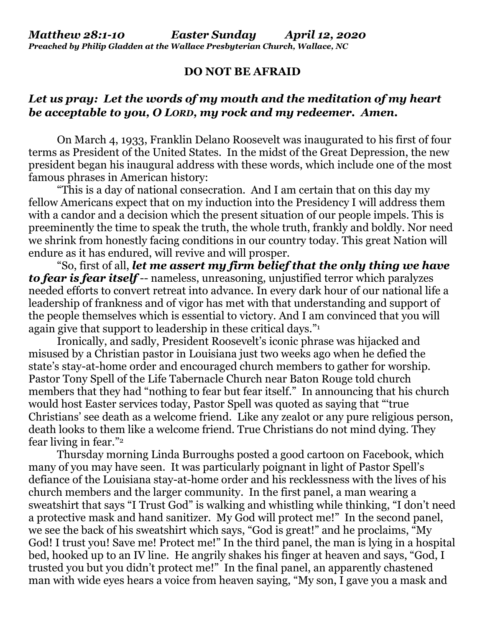## **DO NOT BE AFRAID**

## *Let us pray: Let the words of my mouth and the meditation of my heart be acceptable to you, O LORD, my rock and my redeemer. Amen.*

On March 4, 1933, Franklin Delano Roosevelt was inaugurated to his first of four terms as President of the United States. In the midst of the Great Depression, the new president began his inaugural address with these words, which include one of the most famous phrases in American history:

"This is a day of national consecration. And I am certain that on this day my fellow Americans expect that on my induction into the Presidency I will address them with a candor and a decision which the present situation of our people impels. This is preeminently the time to speak the truth, the whole truth, frankly and boldly. Nor need we shrink from honestly facing conditions in our country today. This great Nation will endure as it has endured, will revive and will prosper.

"So, first of all, *let me assert my firm belief that the only thing we have to fear is fear itself* -- nameless, unreasoning, unjustified terror which paralyzes needed efforts to convert retreat into advance. In every dark hour of our national life a leadership of frankness and of vigor has met with that understanding and support of the people themselves which is essential to victory. And I am convinced that you will again give that support to leadership in these critical days." 1

Ironically, and sadly, President Roosevelt's iconic phrase was hijacked and misused by a Christian pastor in Louisiana just two weeks ago when he defied the state's stay-at-home order and encouraged church members to gather for worship. Pastor Tony Spell of the Life Tabernacle Church near Baton Rouge told church members that they had "nothing to fear but fear itself." In announcing that his church would host Easter services today, Pastor Spell was quoted as saying that "'true Christians' see death as a welcome friend. Like any zealot or any pure religious person, death looks to them like a welcome friend. True Christians do not mind dying. They fear living in fear."<sup>2</sup>

Thursday morning Linda Burroughs posted a good cartoon on Facebook, which many of you may have seen. It was particularly poignant in light of Pastor Spell's defiance of the Louisiana stay-at-home order and his recklessness with the lives of his church members and the larger community. In the first panel, a man wearing a sweatshirt that says "I Trust God" is walking and whistling while thinking, "I don't need a protective mask and hand sanitizer. My God will protect me!" In the second panel, we see the back of his sweatshirt which says, "God is great!" and he proclaims, "My God! I trust you! Save me! Protect me!" In the third panel, the man is lying in a hospital bed, hooked up to an IV line. He angrily shakes his finger at heaven and says, "God, I trusted you but you didn't protect me!" In the final panel, an apparently chastened man with wide eyes hears a voice from heaven saying, "My son, I gave you a mask and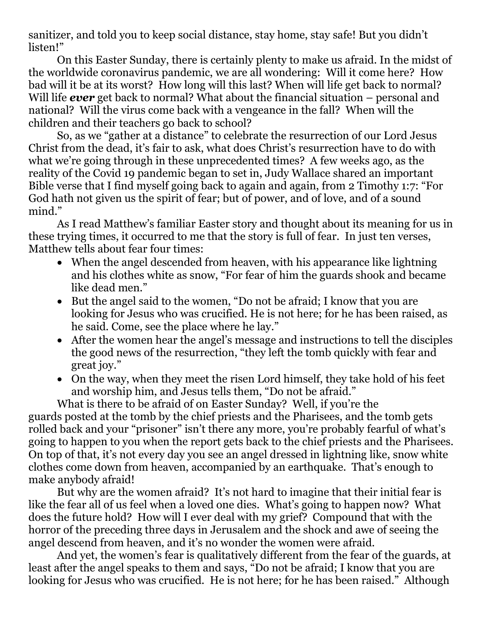sanitizer, and told you to keep social distance, stay home, stay safe! But you didn't listen!"

On this Easter Sunday, there is certainly plenty to make us afraid. In the midst of the worldwide coronavirus pandemic, we are all wondering: Will it come here? How bad will it be at its worst? How long will this last? When will life get back to normal? Will life *ever* get back to normal? What about the financial situation – personal and national? Will the virus come back with a vengeance in the fall? When will the children and their teachers go back to school?

So, as we "gather at a distance" to celebrate the resurrection of our Lord Jesus Christ from the dead, it's fair to ask, what does Christ's resurrection have to do with what we're going through in these unprecedented times? A few weeks ago, as the reality of the Covid 19 pandemic began to set in, Judy Wallace shared an important Bible verse that I find myself going back to again and again, from 2 Timothy 1:7: "For God hath not given us the spirit of fear; but of power, and of love, and of a sound mind."

As I read Matthew's familiar Easter story and thought about its meaning for us in these trying times, it occurred to me that the story is full of fear. In just ten verses, Matthew tells about fear four times:

- When the angel descended from heaven, with his appearance like lightning and his clothes white as snow, "For fear of him the guards shook and became like dead men."
- But the angel said to the women, "Do not be afraid; I know that you are looking for Jesus who was crucified. He is not here; for he has been raised, as he said. Come, see the place where he lay."
- After the women hear the angel's message and instructions to tell the disciples the good news of the resurrection, "they left the tomb quickly with fear and great joy."
- On the way, when they meet the risen Lord himself, they take hold of his feet and worship him, and Jesus tells them, "Do not be afraid."

What is there to be afraid of on Easter Sunday? Well, if you're the guards posted at the tomb by the chief priests and the Pharisees, and the tomb gets rolled back and your "prisoner" isn't there any more, you're probably fearful of what's going to happen to you when the report gets back to the chief priests and the Pharisees. On top of that, it's not every day you see an angel dressed in lightning like, snow white clothes come down from heaven, accompanied by an earthquake. That's enough to make anybody afraid!

But why are the women afraid? It's not hard to imagine that their initial fear is like the fear all of us feel when a loved one dies. What's going to happen now? What does the future hold? How will I ever deal with my grief? Compound that with the horror of the preceding three days in Jerusalem and the shock and awe of seeing the angel descend from heaven, and it's no wonder the women were afraid.

And yet, the women's fear is qualitatively different from the fear of the guards, at least after the angel speaks to them and says, "Do not be afraid; I know that you are looking for Jesus who was crucified. He is not here; for he has been raised." Although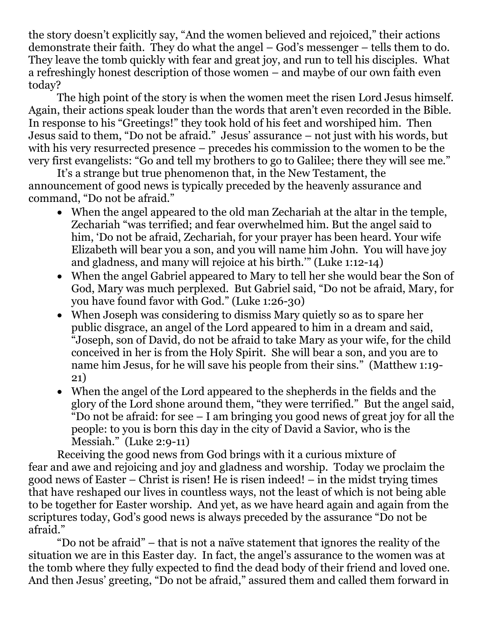the story doesn't explicitly say, "And the women believed and rejoiced," their actions demonstrate their faith. They do what the angel – God's messenger – tells them to do. They leave the tomb quickly with fear and great joy, and run to tell his disciples. What a refreshingly honest description of those women – and maybe of our own faith even today?

The high point of the story is when the women meet the risen Lord Jesus himself. Again, their actions speak louder than the words that aren't even recorded in the Bible. In response to his "Greetings!" they took hold of his feet and worshiped him. Then Jesus said to them, "Do not be afraid." Jesus' assurance – not just with his words, but with his very resurrected presence – precedes his commission to the women to be the very first evangelists: "Go and tell my brothers to go to Galilee; there they will see me."

It's a strange but true phenomenon that, in the New Testament, the announcement of good news is typically preceded by the heavenly assurance and command, "Do not be afraid."

- When the angel appeared to the old man Zechariah at the altar in the temple, Zechariah "was terrified; and fear overwhelmed him. But the angel said to him, 'Do not be afraid, Zechariah, for your prayer has been heard. Your wife Elizabeth will bear you a son, and you will name him John. You will have joy and gladness, and many will rejoice at his birth.'" (Luke 1:12-14)
- When the angel Gabriel appeared to Mary to tell her she would bear the Son of God, Mary was much perplexed. But Gabriel said, "Do not be afraid, Mary, for you have found favor with God." (Luke 1:26-30)
- When Joseph was considering to dismiss Mary quietly so as to spare her public disgrace, an angel of the Lord appeared to him in a dream and said, "Joseph, son of David, do not be afraid to take Mary as your wife, for the child conceived in her is from the Holy Spirit. She will bear a son, and you are to name him Jesus, for he will save his people from their sins." (Matthew 1:19- 21)
- When the angel of the Lord appeared to the shepherds in the fields and the glory of the Lord shone around them, "they were terrified." But the angel said, "Do not be afraid: for see – I am bringing you good news of great joy for all the people: to you is born this day in the city of David a Savior, who is the Messiah." (Luke 2:9-11)

Receiving the good news from God brings with it a curious mixture of fear and awe and rejoicing and joy and gladness and worship. Today we proclaim the good news of Easter – Christ is risen! He is risen indeed! – in the midst trying times that have reshaped our lives in countless ways, not the least of which is not being able to be together for Easter worship. And yet, as we have heard again and again from the scriptures today, God's good news is always preceded by the assurance "Do not be afraid."

"Do not be afraid" – that is not a naïve statement that ignores the reality of the situation we are in this Easter day. In fact, the angel's assurance to the women was at the tomb where they fully expected to find the dead body of their friend and loved one. And then Jesus' greeting, "Do not be afraid," assured them and called them forward in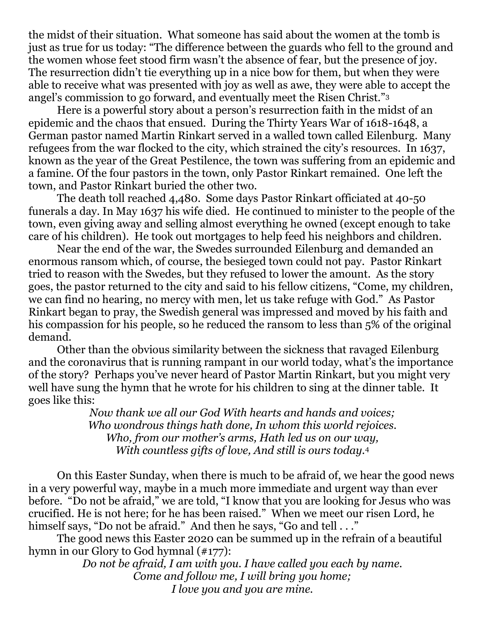the midst of their situation. What someone has said about the women at the tomb is just as true for us today: "The difference between the guards who fell to the ground and the women whose feet stood firm wasn't the absence of fear, but the presence of joy. The resurrection didn't tie everything up in a nice bow for them, but when they were able to receive what was presented with joy as well as awe, they were able to accept the angel's commission to go forward, and eventually meet the Risen Christ."<sup>3</sup>

Here is a powerful story about a person's resurrection faith in the midst of an epidemic and the chaos that ensued. During the Thirty Years War of 1618-1648, a German pastor named Martin Rinkart served in a walled town called Eilenburg. Many refugees from the war flocked to the city, which strained the city's resources. In 1637, known as the year of the Great Pestilence, the town was suffering from an epidemic and a famine. Of the four pastors in the town, only Pastor Rinkart remained. One left the town, and Pastor Rinkart buried the other two.

The death toll reached 4,480. Some days Pastor Rinkart officiated at 40-50 funerals a day. In May 1637 his wife died. He continued to minister to the people of the town, even giving away and selling almost everything he owned (except enough to take care of his children). He took out mortgages to help feed his neighbors and children.

Near the end of the war, the Swedes surrounded Eilenburg and demanded an enormous ransom which, of course, the besieged town could not pay. Pastor Rinkart tried to reason with the Swedes, but they refused to lower the amount. As the story goes, the pastor returned to the city and said to his fellow citizens, "Come, my children, we can find no hearing, no mercy with men, let us take refuge with God." As Pastor Rinkart began to pray, the Swedish general was impressed and moved by his faith and his compassion for his people, so he reduced the ransom to less than 5% of the original demand.

Other than the obvious similarity between the sickness that ravaged Eilenburg and the coronavirus that is running rampant in our world today, what's the importance of the story? Perhaps you've never heard of Pastor Martin Rinkart, but you might very well have sung the hymn that he wrote for his children to sing at the dinner table. It goes like this:

> *Now thank we all our God With hearts and hands and voices; Who wondrous things hath done, In whom this world rejoices. Who, from our mother's arms, Hath led us on our way, With countless gifts of love, And still is ours today.*<sup>4</sup>

On this Easter Sunday, when there is much to be afraid of, we hear the good news in a very powerful way, maybe in a much more immediate and urgent way than ever before. "Do not be afraid," we are told, "I know that you are looking for Jesus who was crucified. He is not here; for he has been raised." When we meet our risen Lord, he himself says, "Do not be afraid." And then he says, "Go and tell . . ."

The good news this Easter 2020 can be summed up in the refrain of a beautiful hymn in our Glory to God hymnal (#177):

> *Do not be afraid, I am with you. I have called you each by name. Come and follow me, I will bring you home; I love you and you are mine.*